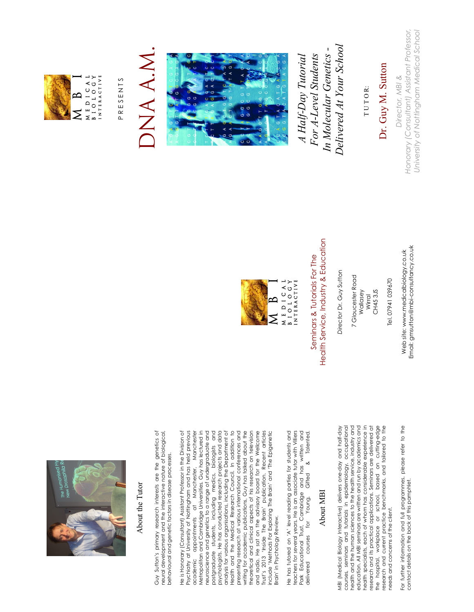

#### About the Tutor About the Tutor

Guy Sutton's primary research interests are the genetics of Guy Sutton's primary research interests are the genetics of neural development and the interactive nature of biological, neural development and the interactive nature of biological, behavioural and genetic factors in disease processes. behavioural and genetic factors in disease processes. He is Honorary (Consultant) Assistant Professor in the Division of He is Honorary (Consultant) Assistant Professor in the Division of Psychiatry at University of Nottingham and has held previous Psychiatry at University of Nottingham and has held previous academic appointments at Manchester, Manchester Metropolitan and Cambridge Universities. Guy has lectured in Metropolitan and Cambridge Universities. Guy has lectured in neuroscience and genetics to a range of undergraduate and neuroscience and genetics to a range of undergraduate and postgraduate students, including medics, biologists and postgraduate students, including medics, biologists and psychologists. He has conducted research projects and data psychologists. He has conducted research projects and data analysis for various organisations, including the Department of analysis for various organisations, including the Department of Health and the Medical Research Council. In addition to Health and the Medical Research Council. In addition to presenting research at various international conferences and presenting research at various international conferences and writing for academic publications, Guy has talked about the writing for academic publications, Guy has talked about the theoretical and clinical aspects of his research on television theoretical and clinical aspects of his research on television and radio. He sat on the advisory board for the Wellcome and radio. He sat on the advisory board for the Wellcome Trust's 2013 'Inside The Brain' publication. Recent articles Trust's 2013 'Inside The Brain' publication. Recent articles include 'Methods For Exploring The Brain' and 'The Epigenetic academic appointments at Manchester, Manchester include 'Methods For Exploring The Brain' and 'The Epigenetic Brain' in Psychology Review. Brain' in Psychology Review.

Park Educational Trust, Cambridge and has written and<br>delivered courses for Young, Gifted & Talented. He has tutored on 'A' level reading parties for students and He has tutored on 'A' level reading parties for students and teachers for several years. He is an associate tutor with Villiers Park Educational Trust, Cambridge and has written and teachers for several years. He is an associate tutor with Villiers delivered courses for Young, Gifted & Talented. delivered courses

#### About MBI About MBI

MBI (Medical Biology Interactive) delivers one-day and half-day courses, seminars and tutorials in epidemiology, occupational health and the human sciences to the health service, industry and education. All MBI seminars are written and run by academics and health specialists, each of whom has considerable experience in research and its practical applications. Seminars are delivered at the hospital, workplace or school, based on cutting-edge research and current practice benchmarks, and tailored to the MBI (Medical Biology Interactive) delivers one-day and half-day courses, seminars and tutorials in epidemiology, occupational health and the human sciences to the health service, industry and education. All MBI seminars are written and run by academics and health specialists, each of whom has considerable experience in research and its practical applications. Seminars are delivered at the hospital, workplace or school, based on cutting-edge<br>research and current practice benchmarks, and tailored to the needs and concerns of the client. needs and concerns of the client.

For further information and full programmes, please refer to the For further information and full programmes, please refer to the<br>contact details on the back of this pamphlet. contact details on the back of this pamphlet.



Health Service, Industry & Education Health Service, Industry & Education Seminars & Tutorials For The Seminars & Tutorials For The

Director Dr. Guy Sutton *Director* Dr. Guy Sutton

 7 Gloucester Road 7 Gloucester Road Wallasey

CH45 3JS CH45 3JS Wirral

Web site: www.medicalbiology.co.uk Web site: www.medicalbiology.co.uk Email: gmsutton@mbi-consultancy.co.uk

Email: gmsutton@mbi-consultancy.co.uk



PRESENTS P R E S E N T S

## DNA A.M. DNA A.M



 *Delivered At Your School*  Delivered At Your School  *In Molecular Genetics -*  In Molecular Genetics - *A Half-Day Tutorial For A-Level Students*  For A-Level Students A Half-Day Tutorial

T U T O R: TUTOR: Dr. Guy M. Sutton

Dr. Guy M. Sutton

*Honorary (Consultant) Assistant Professor, University of Nottingham Medical School* Honorary (Consultant) Assistant Professor, University of Nottingham Medical School Director, MBI & *Director, MBI &*